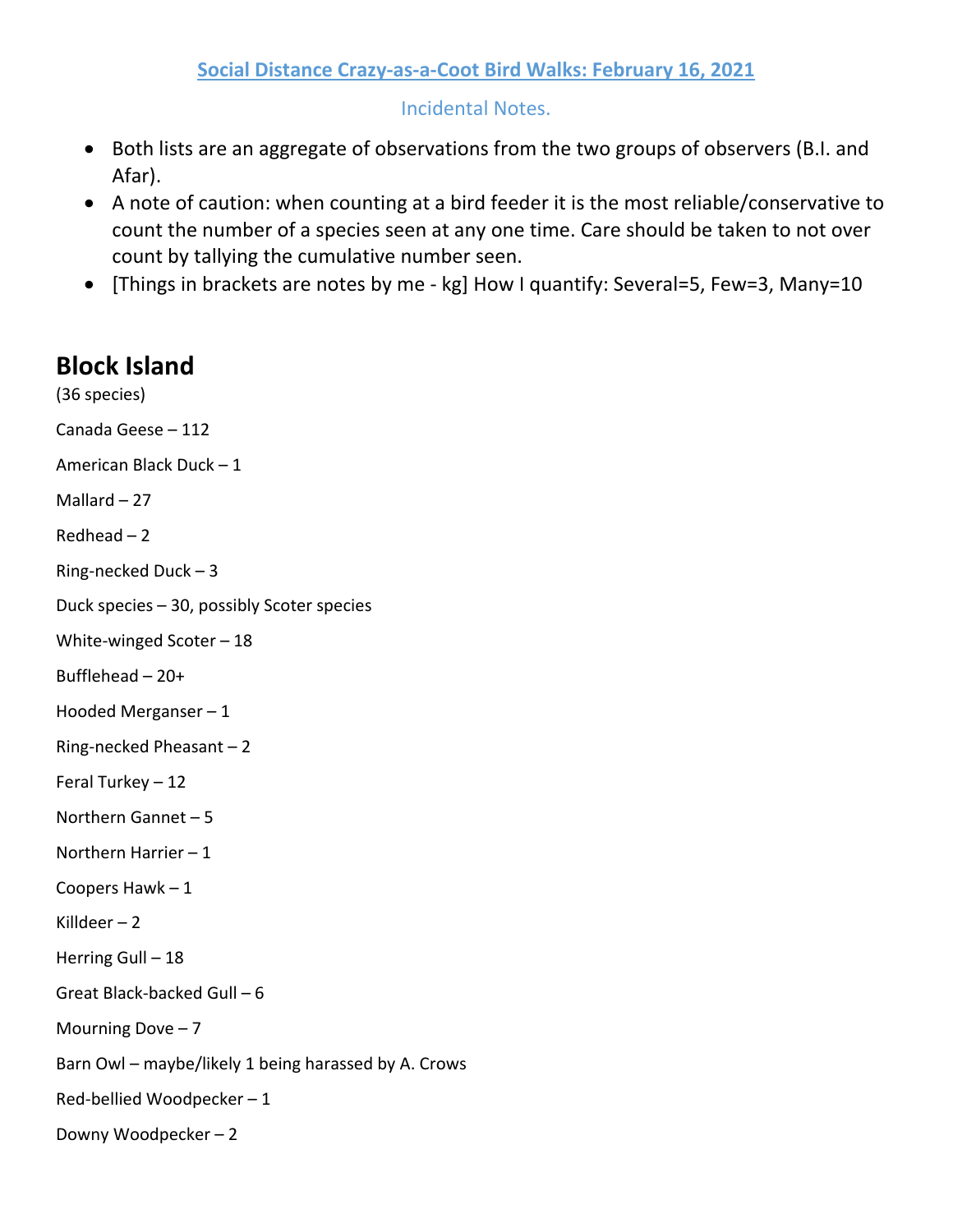## Incidental Notes.

- Both lists are an aggregate of observations from the two groups of observers (B.I. and Afar).
- A note of caution: when counting at a bird feeder it is the most reliable/conservative to count the number of a species seen at any one time. Care should be taken to not over count by tallying the cumulative number seen.
- [Things in brackets are notes by me kg] How I quantify: Several=5, Few=3, Many=10

# **Block Island**

(36 species) Canada Geese – 112 American Black Duck – 1 Mallard – 27 Redhead – 2 Ring-necked Duck – 3 Duck species – 30, possibly Scoter species White-winged Scoter – 18 Bufflehead – 20+ Hooded Merganser – 1 Ring-necked Pheasant – 2 Feral Turkey – 12 Northern Gannet – 5 Northern Harrier – 1 Coopers Hawk – 1 Killdeer  $-2$ Herring Gull – 18 Great Black-backed Gull – 6 Mourning Dove  $-7$ Barn Owl – maybe/likely 1 being harassed by A. Crows Red-bellied Woodpecker – 1 Downy Woodpecker – 2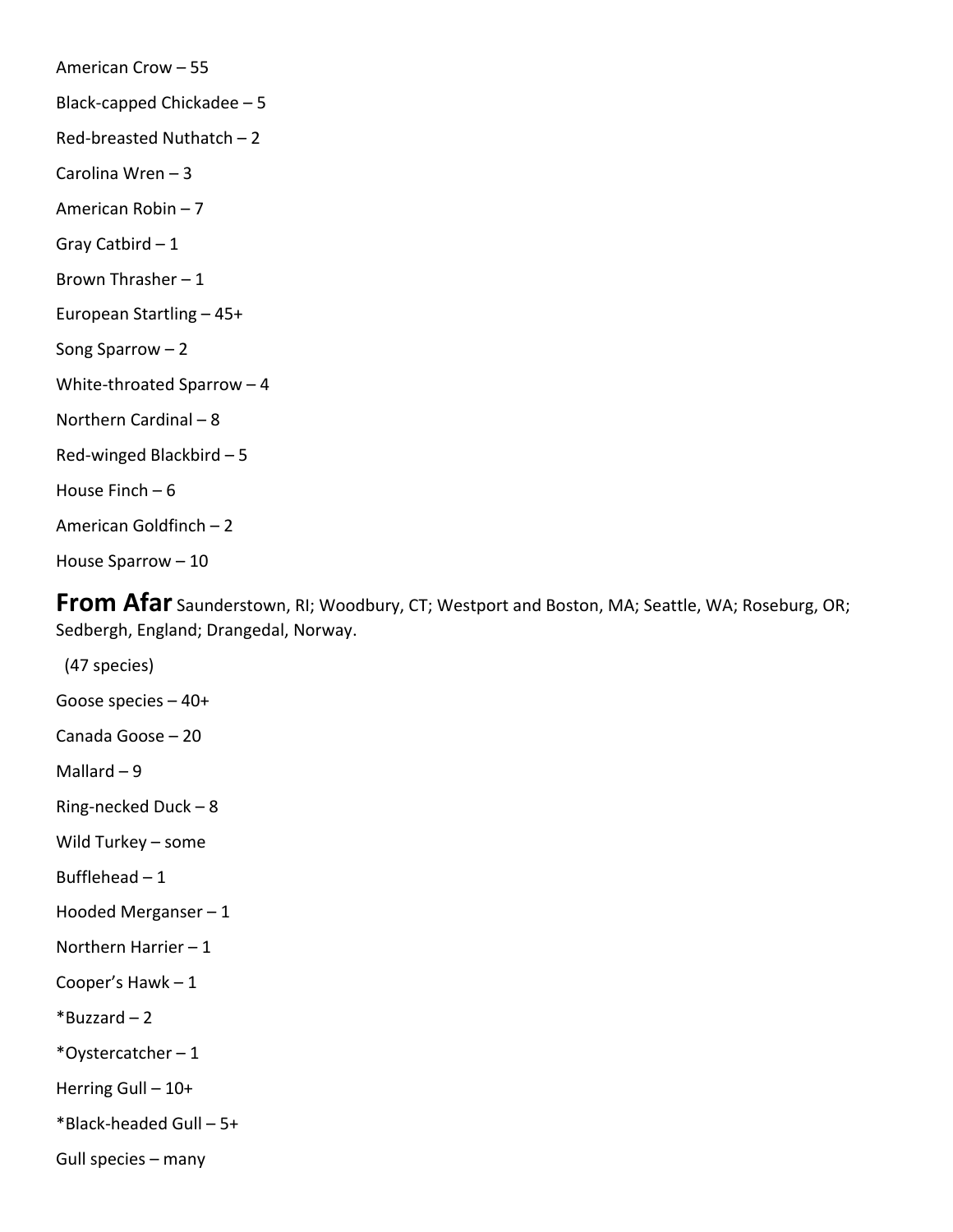American Crow – 55 Black-capped Chickadee – 5 Red-breasted Nuthatch – 2 Carolina Wren – 3 American Robin – 7 Gray Catbird – 1 Brown Thrasher – 1 European Startling – 45+ Song Sparrow – 2 White-throated Sparrow – 4 Northern Cardinal – 8 Red-winged Blackbird – 5 House Finch  $-6$ American Goldfinch – 2 House Sparrow – 10

**From Afar** Saunderstown, RI; Woodbury, CT; Westport and Boston, MA; Seattle, WA; Roseburg, OR; Sedbergh, England; Drangedal, Norway.

 (47 species) Goose species – 40+ Canada Goose – 20 Mallard  $-9$ Ring-necked Duck – 8 Wild Turkey – some Bufflehead  $-1$ Hooded Merganser – 1 Northern Harrier – 1 Cooper's Hawk – 1  $*$ Buzzard – 2 \*Oystercatcher – 1 Herring Gull – 10+ \*Black-headed Gull – 5+ Gull species – many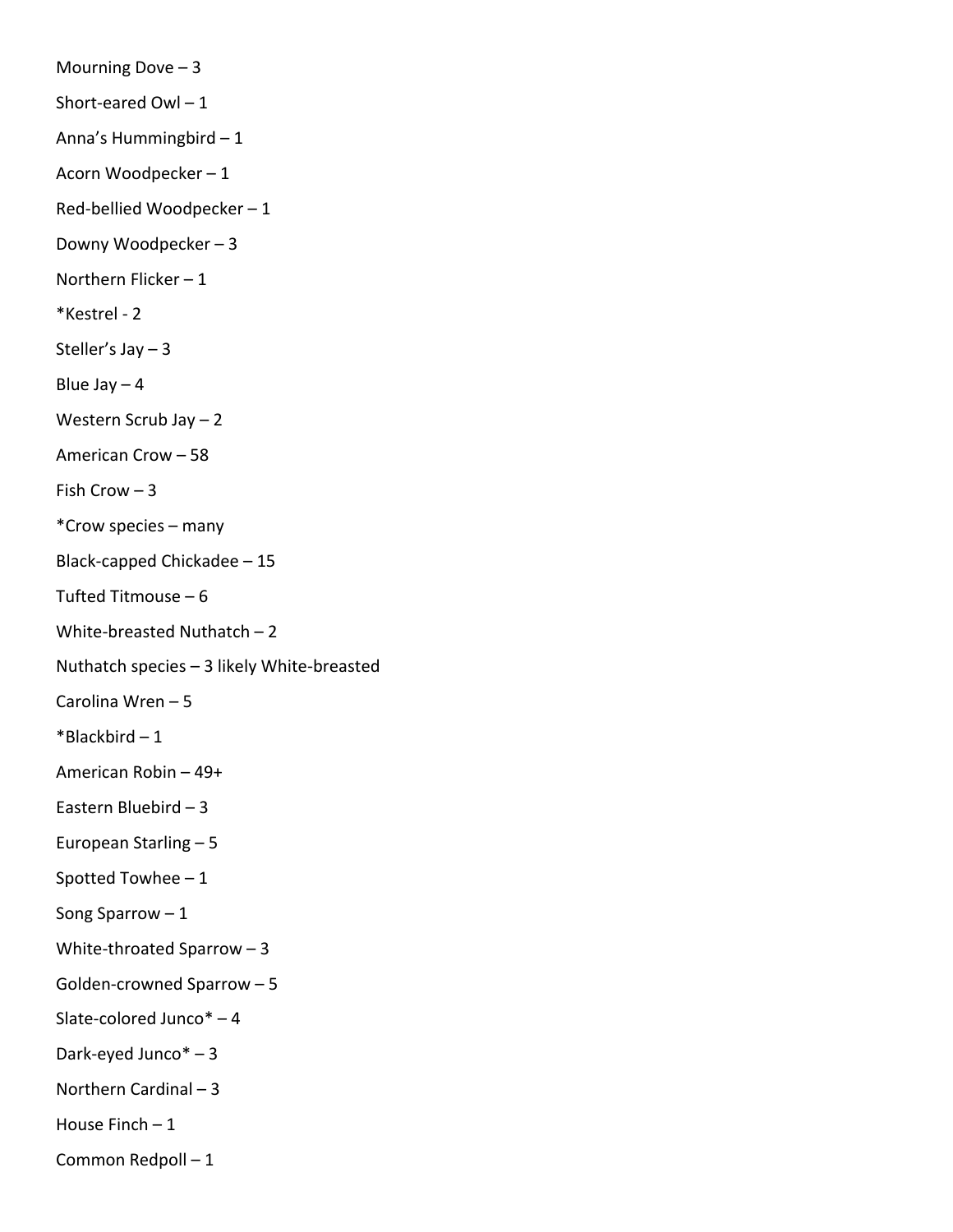Mourning Dove  $-3$ Short-eared Owl  $-1$ Anna's Hummingbird – 1 Acorn Woodpecker – 1 Red-bellied Woodpecker – 1 Downy Woodpecker – 3 Northern Flicker – 1 \*Kestrel - 2 Steller's Jay – 3 Blue Jay  $-4$ Western Scrub Jay – 2 American Crow – 58 Fish Crow  $-3$ \*Crow species – many Black-capped Chickadee – 15 Tufted Titmouse – 6 White-breasted Nuthatch – 2 Nuthatch species – 3 likely White-breasted Carolina Wren – 5 \*Blackbird – 1 American Robin – 49+ Eastern Bluebird – 3 European Starling – 5 Spotted Towhee – 1 Song Sparrow – 1 White-throated Sparrow – 3 Golden-crowned Sparrow – 5 Slate-colored Junco\* – 4 Dark-eyed Junco\* – 3 Northern Cardinal – 3 House Finch  $-1$ Common Redpoll – 1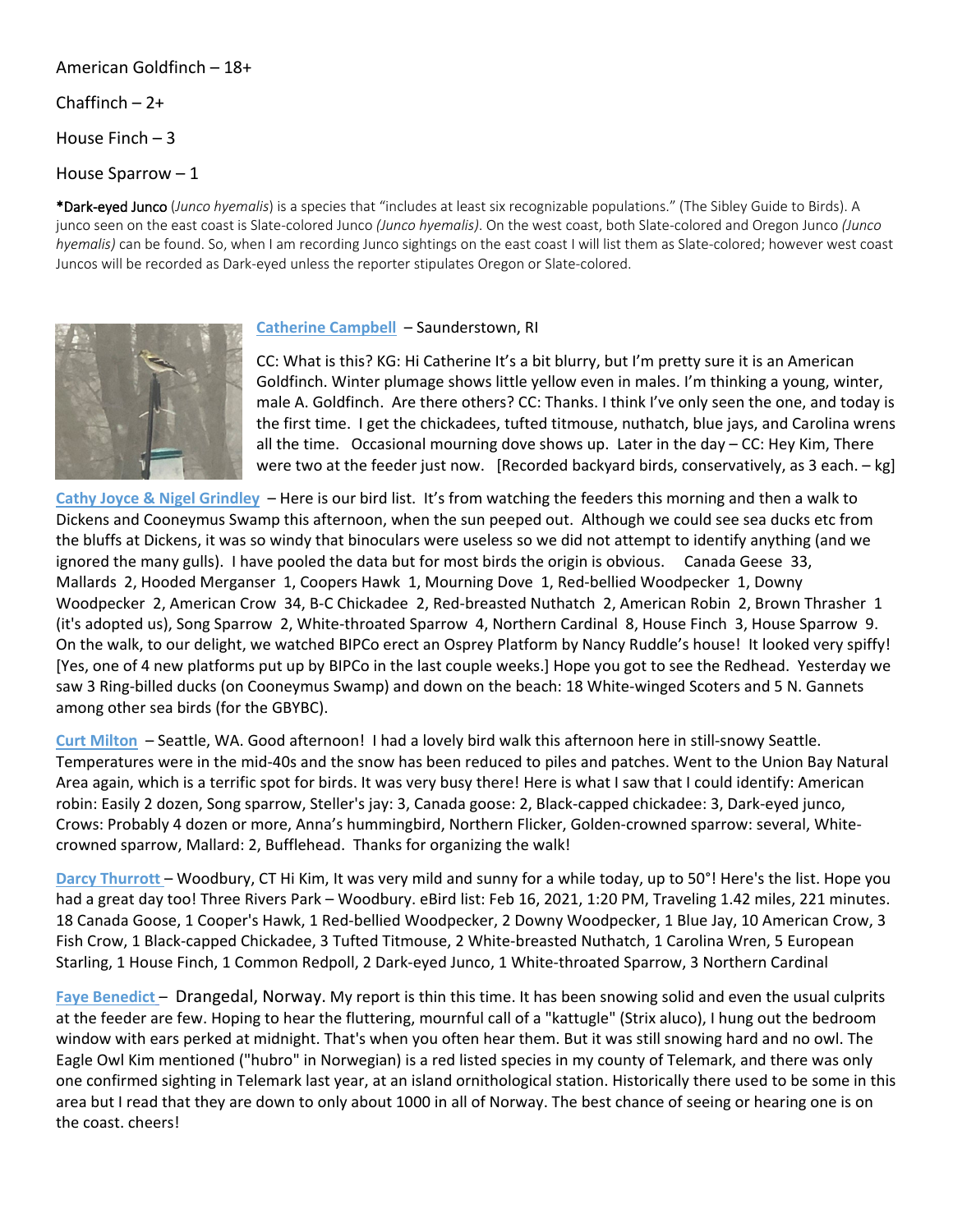### American Goldfinch – 18+

#### Chaffinch  $-2+$

House Finch – 3

House Sparrow – 1

\*Dark-eyed Junco (*Junco hyemalis*) is a species that "includes at least six recognizable populations." (The Sibley Guide to Birds). A junco seen on the east coast is Slate-colored Junco *(Junco hyemalis)*. On the west coast, both Slate-colored and Oregon Junco *(Junco hyemalis)* can be found. So, when I am recording Junco sightings on the east coast I will list them as Slate-colored; however west coast Juncos will be recorded as Dark-eyed unless the reporter stipulates Oregon or Slate-colored.



#### **Catherine Campbell** – Saunderstown, RI

CC: What is this? KG: Hi Catherine It's a bit blurry, but I'm pretty sure it is an American Goldfinch. Winter plumage shows little yellow even in males. I'm thinking a young, winter, male A. Goldfinch. Are there others? CC: Thanks. I think I've only seen the one, and today is the first time. I get the chickadees, tufted titmouse, nuthatch, blue jays, and Carolina wrens all the time. Occasional mourning dove shows up. Later in the day – CC: Hey Kim, There were two at the feeder just now. [Recorded backyard birds, conservatively, as 3 each. - kg]

**Cathy Joyce & Nigel Grindley** – Here is our bird list. It's from watching the feeders this morning and then a walk to Dickens and Cooneymus Swamp this afternoon, when the sun peeped out. Although we could see sea ducks etc from the bluffs at Dickens, it was so windy that binoculars were useless so we did not attempt to identify anything (and we ignored the many gulls). I have pooled the data but for most birds the origin is obvious. Canada Geese 33, Mallards 2, Hooded Merganser 1, Coopers Hawk 1, Mourning Dove 1, Red-bellied Woodpecker 1, Downy Woodpecker 2, American Crow 34, B-C Chickadee 2, Red-breasted Nuthatch 2, American Robin 2, Brown Thrasher 1 (it's adopted us), Song Sparrow 2, White-throated Sparrow 4, Northern Cardinal 8, House Finch 3, House Sparrow 9. On the walk, to our delight, we watched BIPCo erect an Osprey Platform by Nancy Ruddle's house! It looked very spiffy! [Yes, one of 4 new platforms put up by BIPCo in the last couple weeks.] Hope you got to see the Redhead. Yesterday we saw 3 Ring-billed ducks (on Cooneymus Swamp) and down on the beach: 18 White-winged Scoters and 5 N. Gannets among other sea birds (for the GBYBC).

**Curt Milton** – Seattle, WA. Good afternoon! I had a lovely bird walk this afternoon here in still-snowy Seattle. Temperatures were in the mid-40s and the snow has been reduced to piles and patches. Went to the Union Bay Natural Area again, which is a terrific spot for birds. It was very busy there! Here is what I saw that I could identify: American robin: Easily 2 dozen, Song sparrow, Steller's jay: 3, Canada goose: 2, Black-capped chickadee: 3, Dark-eyed junco, Crows: Probably 4 dozen or more, Anna's hummingbird, Northern Flicker, Golden-crowned sparrow: several, Whitecrowned sparrow, Mallard: 2, Bufflehead. Thanks for organizing the walk!

**Darcy Thurrott** – Woodbury, CT Hi Kim, It was very mild and sunny for a while today, up to 50°! Here's the list. Hope you had a great day too! Three Rivers Park – Woodbury. eBird list: Feb 16, 2021, 1:20 PM, Traveling 1.42 miles, 221 minutes. 18 Canada Goose, 1 Cooper's Hawk, 1 Red-bellied Woodpecker, 2 Downy Woodpecker, 1 Blue Jay, 10 American Crow, 3 Fish Crow, 1 Black-capped Chickadee, 3 Tufted Titmouse, 2 White-breasted Nuthatch, 1 Carolina Wren, 5 European Starling, 1 House Finch, 1 Common Redpoll, 2 Dark-eyed Junco, 1 White-throated Sparrow, 3 Northern Cardinal

**Faye Benedict** – Drangedal, Norway. My report is thin this time. It has been snowing solid and even the usual culprits at the feeder are few. Hoping to hear the fluttering, mournful call of a "kattugle" (Strix aluco), I hung out the bedroom window with ears perked at midnight. That's when you often hear them. But it was still snowing hard and no owl. The Eagle Owl Kim mentioned ("hubro" in Norwegian) is a red listed species in my county of Telemark, and there was only one confirmed sighting in Telemark last year, at an island ornithological station. Historically there used to be some in this area but I read that they are down to only about 1000 in all of Norway. The best chance of seeing or hearing one is on the coast. cheers!